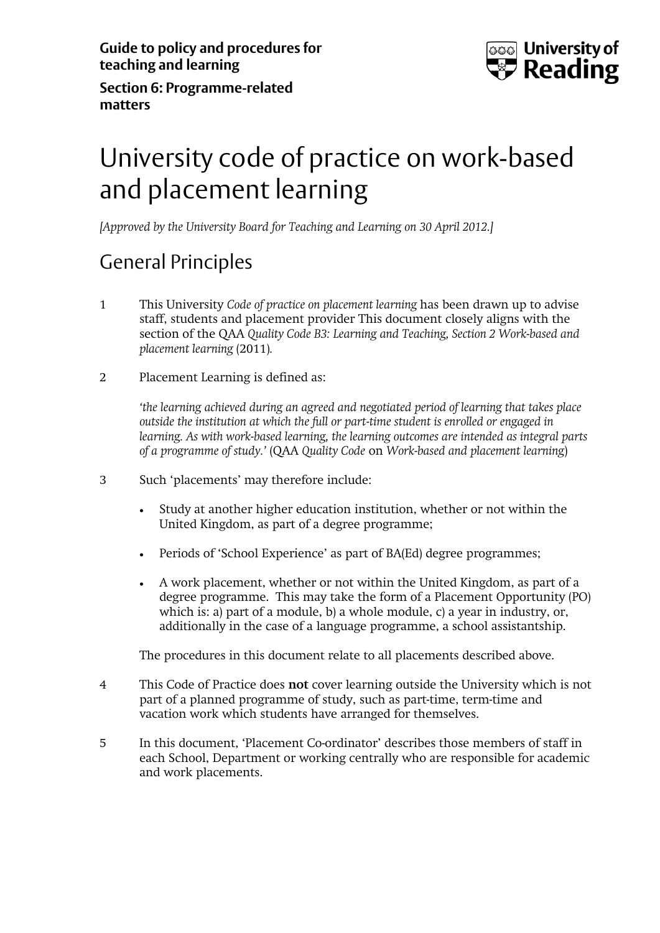

**Section 6: Programme-related matters** 

# University code of practice on work-based and placement learning

*[Approved by the University Board for Teaching and Learning on 30 April 2012.]* 

# General Principles

- 1 This University *Code of practice on placement learning* has been drawn up to advise staff, students and placement provider This document closely aligns with the section of the QAA *Quality Code B3: Learning and Teaching, Section 2 Work-based and placement learning* (2011)*.*
- 2 Placement Learning is defined as:

*'the learning achieved during an agreed and negotiated period of learning that takes place outside the institution at which the full or part-time student is enrolled or engaged in learning. As with work-based learning, the learning outcomes are intended as integral parts of a programme of study.'* (QAA *Quality Code* on *Work-based and placement learning*)

- 3 Such 'placements' may therefore include:
	- Study at another higher education institution, whether or not within the United Kingdom, as part of a degree programme;
	- Periods of 'School Experience' as part of BA(Ed) degree programmes;
	- A work placement, whether or not within the United Kingdom, as part of a degree programme. This may take the form of a Placement Opportunity (PO) which is: a) part of a module, b) a whole module, c) a year in industry, or, additionally in the case of a language programme, a school assistantship.

The procedures in this document relate to all placements described above.

- 4 This Code of Practice does **not** cover learning outside the University which is not part of a planned programme of study, such as part-time, term-time and vacation work which students have arranged for themselves.
- 5 In this document, 'Placement Co-ordinator' describes those members of staff in each School, Department or working centrally who are responsible for academic and work placements.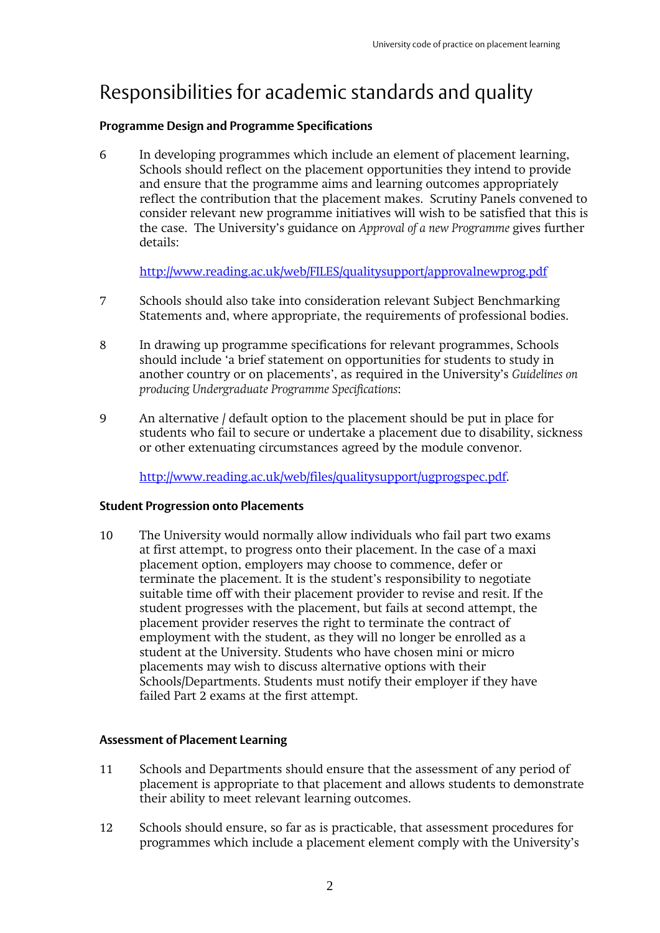# Responsibilities for academic standards and quality

#### **Programme Design and Programme Specifications**

6 In developing programmes which include an element of placement learning, Schools should reflect on the placement opportunities they intend to provide and ensure that the programme aims and learning outcomes appropriately reflect the contribution that the placement makes. Scrutiny Panels convened to consider relevant new programme initiatives will wish to be satisfied that this is the case. The University's guidance on *Approval of a new Programme* gives further details:

http://www.reading.ac.uk/web/FILES/qualitysupport/approvalnewprog.pdf

- 7 Schools should also take into consideration relevant Subject Benchmarking Statements and, where appropriate, the requirements of professional bodies.
- 8 In drawing up programme specifications for relevant programmes, Schools should include 'a brief statement on opportunities for students to study in another country or on placements', as required in the University's *Guidelines on producing Undergraduate Programme Specifications*:
- 9 An alternative / default option to the placement should be put in place for students who fail to secure or undertake a placement due to disability, sickness or other extenuating circumstances agreed by the module convenor.

http://www.reading.ac.uk/web/files/qualitysupport/ugprogspec.pdf.

#### **Student Progression onto Placements**

10 The University would normally allow individuals who fail part two exams at first attempt, to progress onto their placement. In the case of a maxi placement option, employers may choose to commence, defer or terminate the placement. It is the student's responsibility to negotiate suitable time off with their placement provider to revise and resit. If the student progresses with the placement, but fails at second attempt, the placement provider reserves the right to terminate the contract of employment with the student, as they will no longer be enrolled as a student at the University. Students who have chosen mini or micro placements may wish to discuss alternative options with their Schools/Departments. Students must notify their employer if they have failed Part 2 exams at the first attempt.

#### **Assessment of Placement Learning**

- 11 Schools and Departments should ensure that the assessment of any period of placement is appropriate to that placement and allows students to demonstrate their ability to meet relevant learning outcomes.
- 12 Schools should ensure, so far as is practicable, that assessment procedures for programmes which include a placement element comply with the University's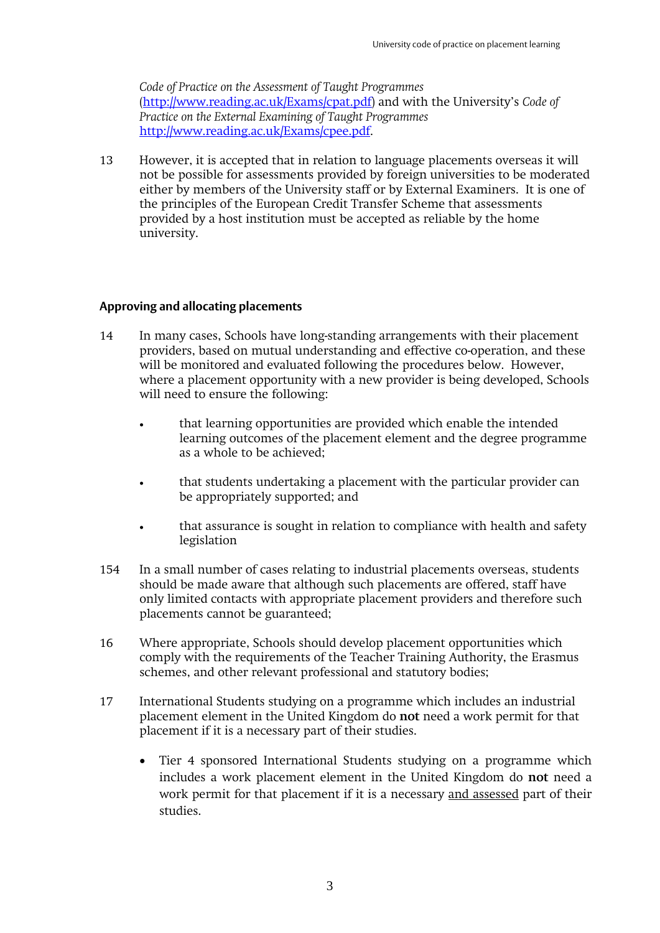*Code of Practice on the Assessment of Taught Programmes* (http://www.reading.ac.uk/Exams/cpat.pdf) and with the University's *Code of Practice on the External Examining of Taught Programmes* http://www.reading.ac.uk/Exams/cpee.pdf.

13 However, it is accepted that in relation to language placements overseas it will not be possible for assessments provided by foreign universities to be moderated either by members of the University staff or by External Examiners. It is one of the principles of the European Credit Transfer Scheme that assessments provided by a host institution must be accepted as reliable by the home university.

#### **Approving and allocating placements**

- 14 In many cases, Schools have long-standing arrangements with their placement providers, based on mutual understanding and effective co-operation, and these will be monitored and evaluated following the procedures below. However, where a placement opportunity with a new provider is being developed, Schools will need to ensure the following:
	- that learning opportunities are provided which enable the intended learning outcomes of the placement element and the degree programme as a whole to be achieved;
	- that students undertaking a placement with the particular provider can be appropriately supported; and
	- that assurance is sought in relation to compliance with health and safety legislation
- 154 In a small number of cases relating to industrial placements overseas, students should be made aware that although such placements are offered, staff have only limited contacts with appropriate placement providers and therefore such placements cannot be guaranteed;
- 16 Where appropriate, Schools should develop placement opportunities which comply with the requirements of the Teacher Training Authority, the Erasmus schemes, and other relevant professional and statutory bodies;
- 17 International Students studying on a programme which includes an industrial placement element in the United Kingdom do **not** need a work permit for that placement if it is a necessary part of their studies.
	- Tier 4 sponsored International Students studying on a programme which includes a work placement element in the United Kingdom do **not** need a work permit for that placement if it is a necessary and assessed part of their studies.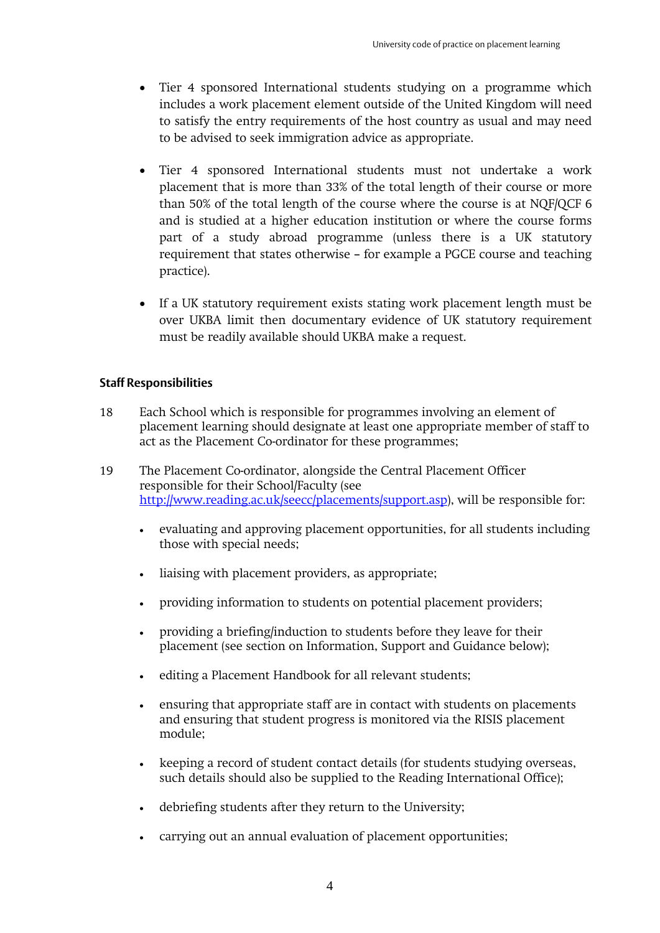- Tier 4 sponsored International students studying on a programme which includes a work placement element outside of the United Kingdom will need to satisfy the entry requirements of the host country as usual and may need to be advised to seek immigration advice as appropriate.
- Tier 4 sponsored International students must not undertake a work placement that is more than 33% of the total length of their course or more than 50% of the total length of the course where the course is at NQF/QCF 6 and is studied at a higher education institution or where the course forms part of a study abroad programme (unless there is a UK statutory requirement that states otherwise – for example a PGCE course and teaching practice).
- If a UK statutory requirement exists stating work placement length must be over UKBA limit then documentary evidence of UK statutory requirement must be readily available should UKBA make a request.

### **Staff Responsibilities**

- 18 Each School which is responsible for programmes involving an element of placement learning should designate at least one appropriate member of staff to act as the Placement Co-ordinator for these programmes;
- 19 The Placement Co-ordinator, alongside the Central Placement Officer responsible for their School/Faculty (see http://www.reading.ac.uk/seecc/placements/support.asp), will be responsible for:
	- evaluating and approving placement opportunities, for all students including those with special needs;
	- liaising with placement providers, as appropriate;
	- providing information to students on potential placement providers;
	- providing a briefing/induction to students before they leave for their placement (see section on Information, Support and Guidance below);
	- editing a Placement Handbook for all relevant students;
	- ensuring that appropriate staff are in contact with students on placements and ensuring that student progress is monitored via the RISIS placement module;
	- keeping a record of student contact details (for students studying overseas, such details should also be supplied to the Reading International Office);
	- debriefing students after they return to the University;
	- carrying out an annual evaluation of placement opportunities;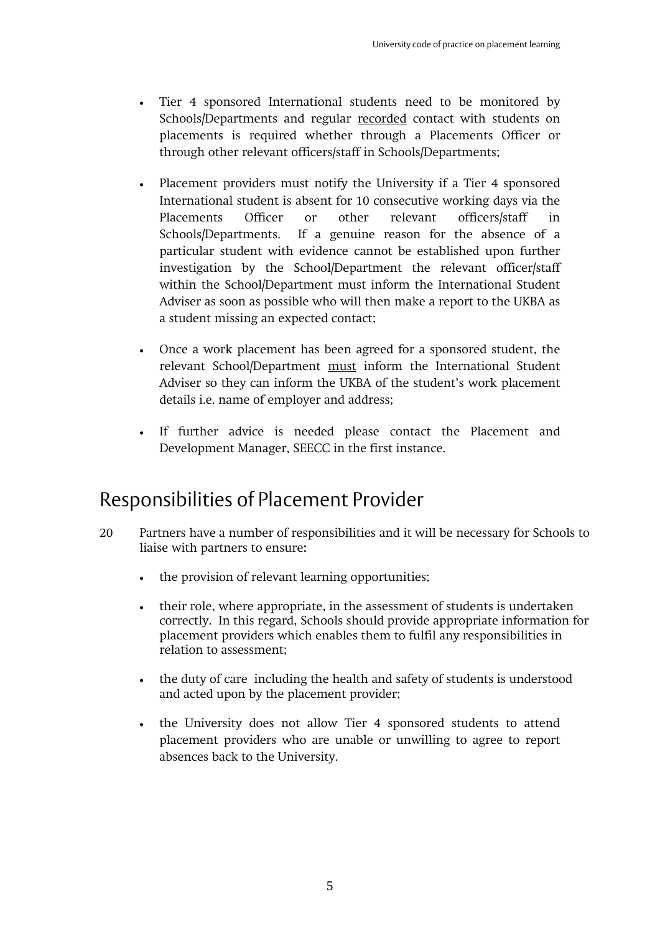- Tier 4 sponsored International students need to be monitored by Schools/Departments and regular recorded contact with students on placements is required whether through a Placements Officer or through other relevant officers/staff in Schools/Departments;
- Placement providers must notify the University if a Tier 4 sponsored International student is absent for 10 consecutive working days via the Placements Officer or other relevant officers/staff in Schools/Departments. If a genuine reason for the absence of a particular student with evidence cannot be established upon further investigation by the School/Department the relevant officer/staff within the School/Department must inform the International Student Adviser as soon as possible who will then make a report to the UKBA as a student missing an expected contact;
- Once a work placement has been agreed for a sponsored student, the relevant School/Department must inform the International Student Adviser so they can inform the UKBA of the student's work placement details i.e. name of employer and address;
- If further advice is needed please contact the Placement and Development Manager, SEECC in the first instance.

### Responsibilities of Placement Provider

- 20 Partners have a number of responsibilities and it will be necessary for Schools to liaise with partners to ensure**:**
	- the provision of relevant learning opportunities;
	- their role, where appropriate, in the assessment of students is undertaken correctly. In this regard, Schools should provide appropriate information for placement providers which enables them to fulfil any responsibilities in relation to assessment;
	- the duty of care including the health and safety of students is understood and acted upon by the placement provider;
	- the University does not allow Tier 4 sponsored students to attend placement providers who are unable or unwilling to agree to report absences back to the University.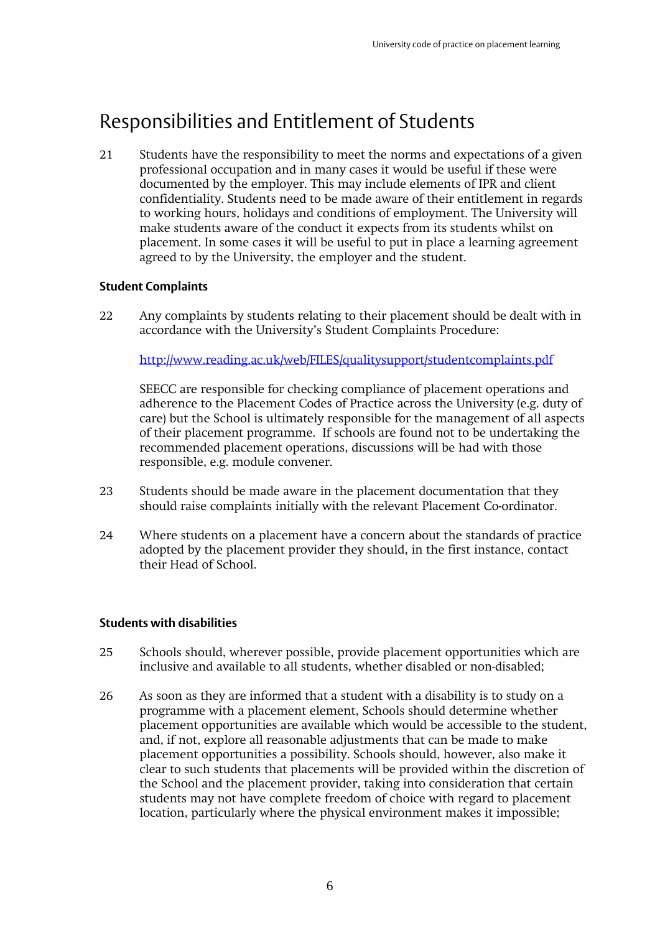# Responsibilities and Entitlement of Students

21 Students have the responsibility to meet the norms and expectations of a given professional occupation and in many cases it would be useful if these were documented by the employer. This may include elements of IPR and client confidentiality. Students need to be made aware of their entitlement in regards to working hours, holidays and conditions of employment. The University will make students aware of the conduct it expects from its students whilst on placement. In some cases it will be useful to put in place a learning agreement agreed to by the University, the employer and the student.

### **Student Complaints**

22 Any complaints by students relating to their placement should be dealt with in accordance with the University's Student Complaints Procedure:

http://www.reading.ac.uk/web/FILES/qualitysupport/studentcomplaints.pdf

 SEECC are responsible for checking compliance of placement operations and adherence to the Placement Codes of Practice across the University (e.g. duty of care) but the School is ultimately responsible for the management of all aspects of their placement programme. If schools are found not to be undertaking the recommended placement operations, discussions will be had with those responsible, e.g. module convener.

- 23 Students should be made aware in the placement documentation that they should raise complaints initially with the relevant Placement Co-ordinator.
- 24 Where students on a placement have a concern about the standards of practice adopted by the placement provider they should, in the first instance, contact their Head of School.

### **Students with disabilities**

- 25 Schools should, wherever possible, provide placement opportunities which are inclusive and available to all students, whether disabled or non-disabled;
- 26 As soon as they are informed that a student with a disability is to study on a programme with a placement element, Schools should determine whether placement opportunities are available which would be accessible to the student, and, if not, explore all reasonable adjustments that can be made to make placement opportunities a possibility. Schools should, however, also make it clear to such students that placements will be provided within the discretion of the School and the placement provider, taking into consideration that certain students may not have complete freedom of choice with regard to placement location, particularly where the physical environment makes it impossible;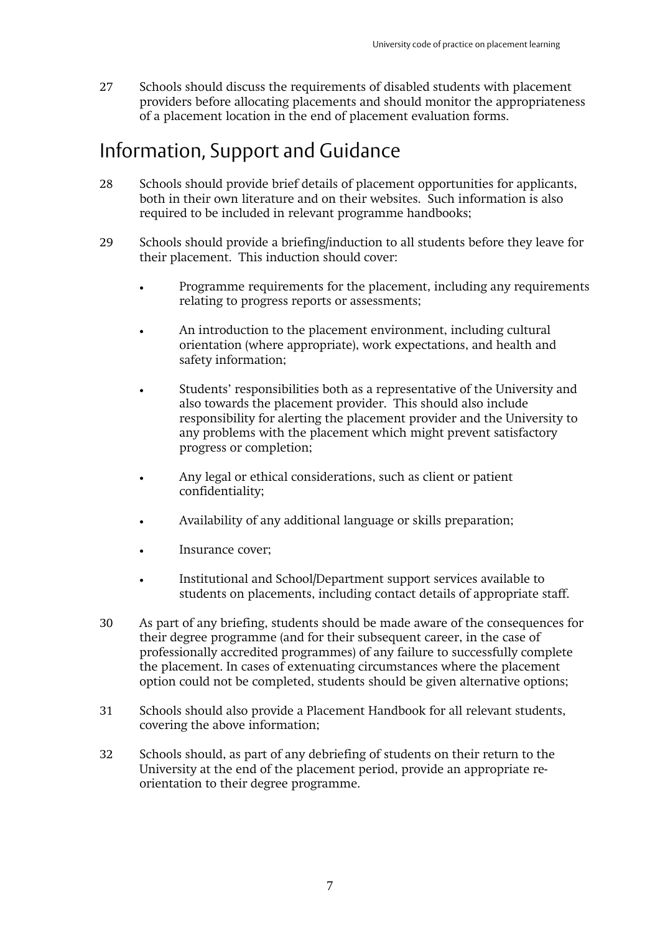27 Schools should discuss the requirements of disabled students with placement providers before allocating placements and should monitor the appropriateness of a placement location in the end of placement evaluation forms.

### Information, Support and Guidance

- 28 Schools should provide brief details of placement opportunities for applicants, both in their own literature and on their websites. Such information is also required to be included in relevant programme handbooks;
- 29 Schools should provide a briefing/induction to all students before they leave for their placement. This induction should cover:
	- Programme requirements for the placement, including any requirements relating to progress reports or assessments;
	- An introduction to the placement environment, including cultural orientation (where appropriate), work expectations, and health and safety information;
	- Students' responsibilities both as a representative of the University and also towards the placement provider. This should also include responsibility for alerting the placement provider and the University to any problems with the placement which might prevent satisfactory progress or completion;
	- Any legal or ethical considerations, such as client or patient confidentiality;
	- Availability of any additional language or skills preparation;
	- Insurance cover;
	- Institutional and School/Department support services available to students on placements, including contact details of appropriate staff.
- 30 As part of any briefing, students should be made aware of the consequences for their degree programme (and for their subsequent career, in the case of professionally accredited programmes) of any failure to successfully complete the placement. In cases of extenuating circumstances where the placement option could not be completed, students should be given alternative options;
- 31 Schools should also provide a Placement Handbook for all relevant students, covering the above information;
- 32 Schools should, as part of any debriefing of students on their return to the University at the end of the placement period, provide an appropriate reorientation to their degree programme.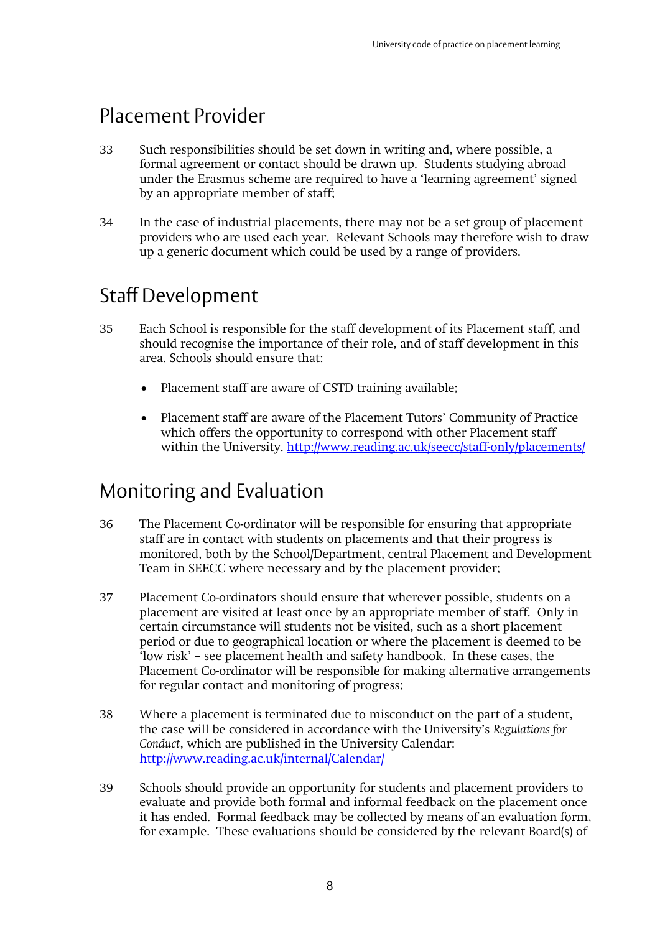### Placement Provider

- 33 Such responsibilities should be set down in writing and, where possible, a formal agreement or contact should be drawn up. Students studying abroad under the Erasmus scheme are required to have a 'learning agreement' signed by an appropriate member of staff;
- 34 In the case of industrial placements, there may not be a set group of placement providers who are used each year. Relevant Schools may therefore wish to draw up a generic document which could be used by a range of providers.

# Staff Development

- 35 Each School is responsible for the staff development of its Placement staff, and should recognise the importance of their role, and of staff development in this area. Schools should ensure that:
	- Placement staff are aware of CSTD training available;
	- Placement staff are aware of the Placement Tutors' Community of Practice which offers the opportunity to correspond with other Placement staff within the University. http://www.reading.ac.uk/seecc/staff-only/placements/

### Monitoring and Evaluation

- 36 The Placement Co-ordinator will be responsible for ensuring that appropriate staff are in contact with students on placements and that their progress is monitored, both by the School/Department, central Placement and Development Team in SEECC where necessary and by the placement provider;
- 37 Placement Co-ordinators should ensure that wherever possible, students on a placement are visited at least once by an appropriate member of staff. Only in certain circumstance will students not be visited, such as a short placement period or due to geographical location or where the placement is deemed to be 'low risk' – see placement health and safety handbook. In these cases, the Placement Co-ordinator will be responsible for making alternative arrangements for regular contact and monitoring of progress;
- 38 Where a placement is terminated due to misconduct on the part of a student, the case will be considered in accordance with the University's *Regulations for Conduct*, which are published in the University Calendar: http://www.reading.ac.uk/internal/Calendar/
- 39 Schools should provide an opportunity for students and placement providers to evaluate and provide both formal and informal feedback on the placement once it has ended. Formal feedback may be collected by means of an evaluation form, for example. These evaluations should be considered by the relevant Board(s) of